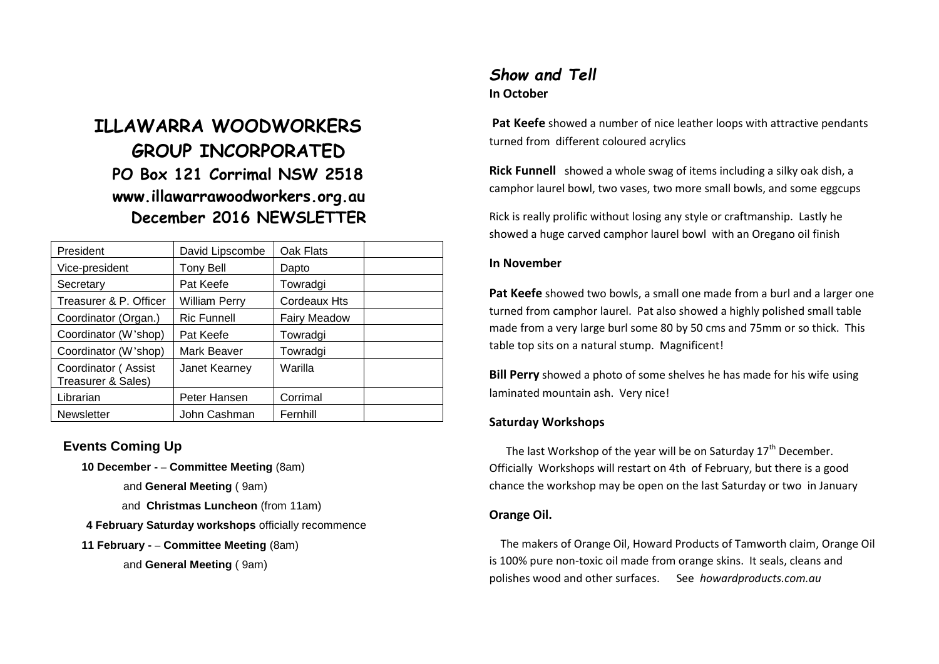# **ILLAWARRA WOODWORKERS GROUP INCORPORATED PO Box 121 Corrimal NSW 2518 www.illawarrawoodworkers.org.au December 2016 NEWSLETTER**

| President                                 | David Lipscombe      | Oak Flats           |  |
|-------------------------------------------|----------------------|---------------------|--|
| Vice-president                            | <b>Tony Bell</b>     | Dapto               |  |
| Secretary                                 | Pat Keefe            | Towradgi            |  |
| Treasurer & P. Officer                    | <b>William Perry</b> | <b>Cordeaux Hts</b> |  |
| Coordinator (Organ.)                      | <b>Ric Funnell</b>   | <b>Fairy Meadow</b> |  |
| Coordinator (W'shop)                      | Pat Keefe            | Towradgi            |  |
| Coordinator (W'shop)                      | Mark Beaver          | Towradgi            |  |
| Coordinator (Assist<br>Treasurer & Sales) | Janet Kearney        | Warilla             |  |
| Librarian                                 | Peter Hansen         | Corrimal            |  |
| Newsletter                                | John Cashman         | Fernhill            |  |

## **Events Coming Up**

 **10 December - – Committee Meeting** (8am)

and **General Meeting** ( 9am)

and **Christmas Luncheon** (from 11am)

**4 February Saturday workshops** officially recommence

#### **11 February - – Committee Meeting** (8am)

and **General Meeting** ( 9am)

# *Show and Tell*  **In October**

**Pat Keefe** showed a number of nice leather loops with attractive pendants turned from different coloured acrylics

**Rick Funnell** showed a whole swag of items including a silky oak dish, a camphor laurel bowl, two vases, two more small bowls, and some eggcups

Rick is really prolific without losing any style or craftmanship. Lastly he showed a huge carved camphor laurel bowl with an Oregano oil finish

#### **In November**

**Pat Keefe** showed two bowls, a small one made from a burl and a larger one turned from camphor laurel. Pat also showed a highly polished small table made from a very large burl some 80 by 50 cms and 75mm or so thick. This table top sits on a natural stump. Magnificent!

**Bill Perry** showed a photo of some shelves he has made for his wife using laminated mountain ash. Very nice!

## **Saturday Workshops**

The last Workshop of the year will be on Saturday  $17<sup>th</sup>$  December. Officially Workshops will restart on 4th of February, but there is a good chance the workshop may be open on the last Saturday or two in January

#### **Orange Oil.**

 The makers of Orange Oil, Howard Products of Tamworth claim, Orange Oil is 100% pure non-toxic oil made from orange skins. It seals, cleans and polishes wood and other surfaces. See *howardproducts.com.au*